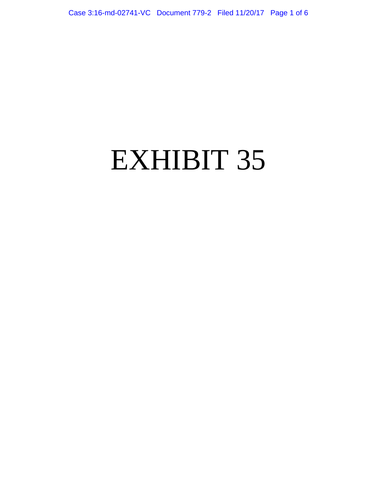# EXHIBIT 35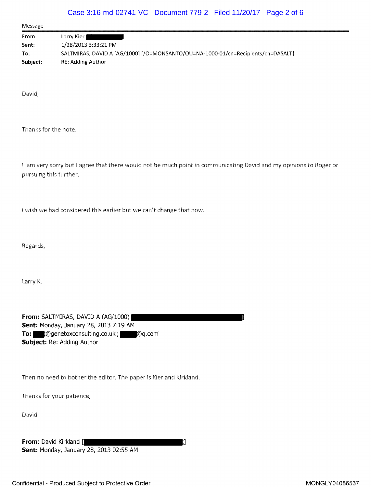### Case 3:16-md-02741-VC Document 779-2 Filed 11/20/17 Page 2 of 6

| Message  |                                                                                  |
|----------|----------------------------------------------------------------------------------|
| From:    | Larry Kier I                                                                     |
| Sent:    | 1/28/2013 3:33:21 PM                                                             |
| To:      | SALTMIRAS, DAVID A [AG/1000] [/O=MONSANTO/OU=NA-1000-01/cn=Recipients/cn=DASALT] |
| Subject: | RE: Adding Author                                                                |

David,

Thanks for the note.

I am very sorry but I agree that there would not be much point in communicating David and my opinions to Roger or pursuing this further.

<sup>I</sup> wish we had considered this earlier but we can't change that now.

Regards,

Larry K.

From: SALTMIRAS, DAVID A (AG/1000) Sent: Monday, January 28, 2013 7:19 AM To:  $\Box$  :@genetoxconsulting.co.uk'; @@q.com' Subject: Re: Adding Author

Then no need to bother the editor. The paper is Kier and Kirkland.

Thanks for your patience,

David

From: David Kirkland [ **] [** ] **] [** ] **[** ] **] [** ] **[** ] **]** Sent: Monday, January 28, 2013 02:55 AM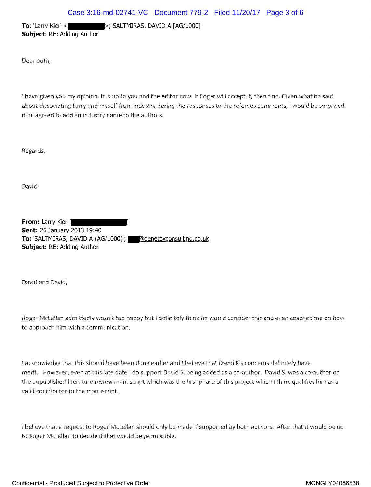**To:** 'Larry Kier' <  $\blacktriangleright$   $\blacktriangleright$  SALTMIRAS, DAVID A [AG/1000] Subject: RE: Adding Author

Dear both,

<sup>I</sup> have given you my opinion. It is up to you and the editor now. If Roger will accept it, then fine. Given what he said about dissociating Larry and myself from industry during the responses to the referees comments, I would be surprised if he agreed to add an industry name to the authors.

Regards,

David.

From: Larry Kier [ Sent: 26 January 2013 19:40 To: 'SALTMIRAS, DAVID A (AG/1000)'; @@enetoxconsulting.co.uk Subject: RE: Adding Author

David and David,

Roger McLellan admittedly wasn't too happy but I definitely think he would consider this and even coached me on how to approach him with a communication.

<sup>I</sup> acknowledge that this should have been done earlier and <sup>I</sup> believe that David <sup>K</sup>'s concerns definitely have merit. However, even at this late date I do support David S. being added as a co-author. David S. was a co-author on the unpublished literature review manuscript which was the first phase of this project which <sup>I</sup> think qualifies him as a valid contributor to the manuscript,.

<sup>I</sup> believe that <sup>a</sup> request to Roger McLellan should only be made if supported by both authors. After that it would be up to Roger McLellan to decide if that would be permissible.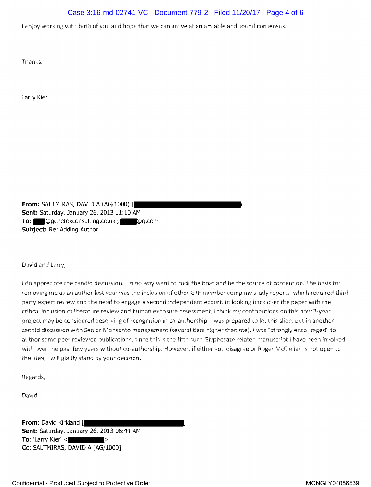## Case 3:16-md-02741-VC Document 779-2 Filed 11/20/17 Page 4 of 6

<sup>I</sup> enjoy working with both of you and hope that we can arrive at an amiable and sound consensus.

Thanks.

Larry Kier

From: SALTMIRAS, DAVID A (AG/1000) [ Sent: Saturday, January 26, 2013 11:10 AM To: t@genetoxconsulting.co.uk'; @@q.com' Subject: Re: Adding Author

David and Larry,

<sup>I</sup> do appreciate the candid discussion. <sup>I</sup> in no way want to rock the boat: and be the source of contention. The basis for removing me as an author last year was the inclusion of other GTF member company study reports, which required third party expert review and the need to engage a second independent expert. In looking back over the paper with the critical inclusion of literature review and human exposure assessment, <sup>I</sup> think my contributions on this now 2-year project may be considered deserving of recognition in co-authorship. <sup>I</sup> was prepared to let this slide, but in another candid discussion with Senior Monsanto management (several tiers higher than me), I was "strongly encouraged" to author some peer reviewed publications, since this is the fifth such Glyphosate related manuscript <sup>I</sup> have been involved with over the past few years without co-authorship. However, if either you disagree or Roger McClellan is not open to the idea, <sup>I</sup> will gladly stand by your decision.

Regards,

David

**From: David Kirkland [** Sent: Saturday, January 26, 2013 06:44 AM To: 'Larry Kier'  $<$ Cc: SALTMIRAS, DAVID A [AG/1000]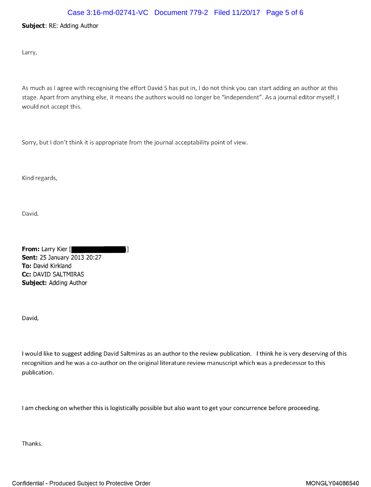#### Case 3:16-md-02741-VC Document 779-2 Filed 11/20/17 Page 5 of 6

#### Subject: RE: Adding Author

Larry,

As much as <sup>I</sup> agree with recognising the effort David <sup>S</sup> has put in, <sup>I</sup> do not think you can start adding an author at this stage. Apart from anything else, it means the authors would no longer be "independent". As <sup>a</sup> journal editor myself, <sup>I</sup> would not accept this.

Sorry, but I don't think it is appropriate from the journal acceptability point of view.

Kind regards,

David.

| From: Larry Kier [<br>Н            |  |
|------------------------------------|--|
| <b>Sent: 25 January 2013 20:27</b> |  |
| <b>To:</b> David Kirkland          |  |
| Cc: DAVID SALTMIRAS                |  |
| <b>Subject: Adding Author</b>      |  |

David,

<sup>I</sup> would like to suggest adding David Saltmiras as an author to the review publication. <sup>I</sup> think he is very deserving of this recognition and he was <sup>a</sup> co-author on the original literature review manuscript which was <sup>a</sup> predecessor to this publication.

<sup>I</sup> am checking on whether this is logistically possible but also want to get your concurrence before proceeding.

Thanks.